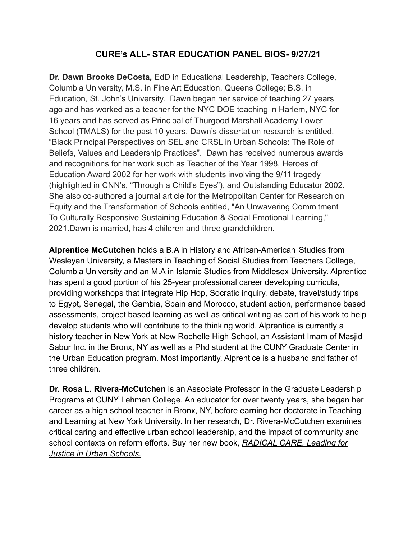## **CURE's ALL- STAR EDUCATION PANEL BIOS- 9/27/21**

**Dr. Dawn Brooks DeCosta,** EdD in Educational Leadership, Teachers College, Columbia University, M.S. in Fine Art Education, Queens College; B.S. in Education, St. John's University. Dawn began her service of teaching 27 years ago and has worked as a teacher for the NYC DOE teaching in Harlem, NYC for 16 years and has served as Principal of Thurgood Marshall Academy Lower School (TMALS) for the past 10 years. Dawn's dissertation research is entitled, "Black Principal Perspectives on SEL and CRSL in Urban Schools: The Role of Beliefs, Values and Leadership Practices". Dawn has received numerous awards and recognitions for her work such as Teacher of the Year 1998, Heroes of Education Award 2002 for her work with students involving the 9/11 tragedy (highlighted in CNN's, "Through a Child's Eyes"), and Outstanding Educator 2002. She also co-authored a journal article for the Metropolitan Center for Research on Equity and the Transformation of Schools entitled, "An Unwavering Commitment To Culturally Responsive Sustaining Education & Social Emotional Learning," 2021.Dawn is married, has 4 children and three grandchildren.

**Alprentice McCutchen** holds a B.A in History and African-American Studies from Wesleyan University, a Masters in Teaching of Social Studies from Teachers College, Columbia University and an M.A in Islamic Studies from Middlesex University. Alprentice has spent a good portion of his 25-year professional career developing curricula, providing workshops that integrate Hip Hop, Socratic inquiry, debate, travel/study trips to Egypt, Senegal, the Gambia, Spain and Morocco, student action, performance based assessments, project based learning as well as critical writing as part of his work to help develop students who will contribute to the thinking world. Alprentice is currently a history teacher in New York at New Rochelle High School, an Assistant Imam of Masjid Sabur Inc. in the Bronx, NY as well as a Phd student at the CUNY Graduate Center in the Urban Education program. Most importantly, Alprentice is a husband and father of three children.

**Dr. Rosa L. Rivera-McCutchen** is an Associate Professor in the Graduate Leadership Programs at CUNY Lehman College. An educator for over twenty years, she began her career as a high school teacher in Bronx, NY, before earning her doctorate in Teaching and Learning at New York University. In her research, Dr. Rivera-McCutchen examines critical caring and effective urban school leadership, and the impact of community and school contexts on reform efforts. Buy her new book, *[RADICAL CARE, Leading for](https://www.amazon.com/Radical-Care-Leading-Justice-Schools/dp/0807765430) [Justice in Urban Schools.](https://www.amazon.com/Radical-Care-Leading-Justice-Schools/dp/0807765430)*